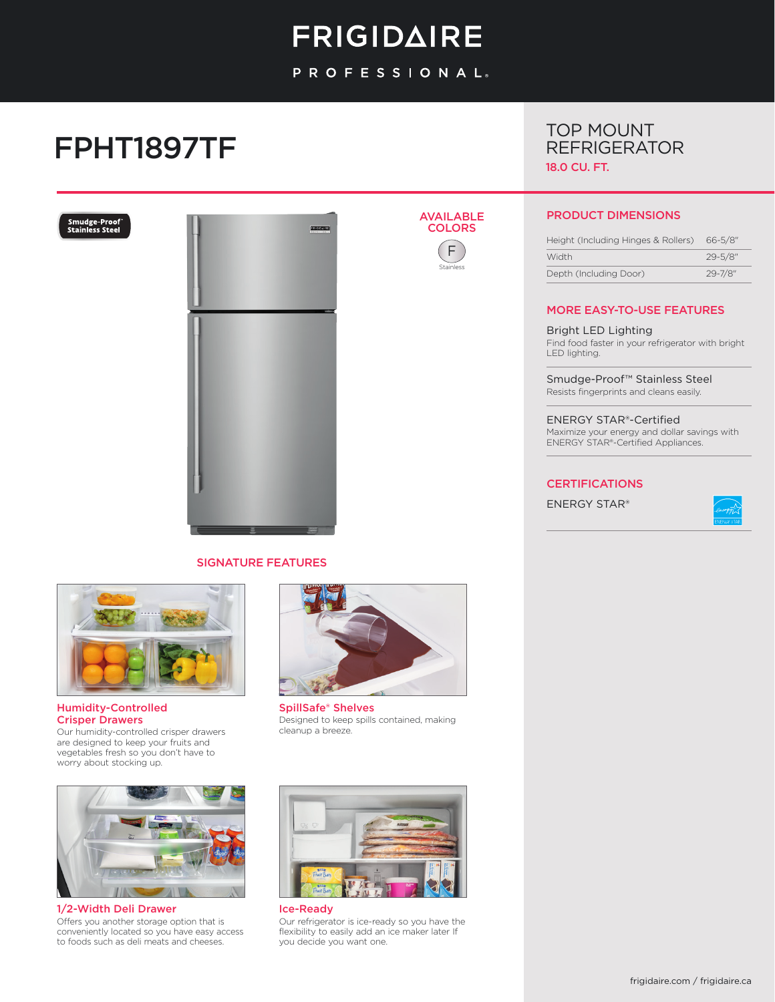# **FRIGIDAIRE**

PROFESSIONAL.

AVAILABLE **COLORS** F Stainless

# FPHT1897TF





### SIGNATURE FEATURES



Humidity-Controlled Crisper Drawers Our humidity-controlled crisper drawers are designed to keep your fruits and vegetables fresh so you don't have to worry about stocking up.



1/2-Width Deli Drawer Offers you another storage option that is conveniently located so you have easy access to foods such as deli meats and cheeses.



SpillSafe® Shelves Designed to keep spills contained, making cleanup a breeze.



Ice-Ready Our refrigerator is ice-ready so you have the flexibility to easily add an ice maker later If you decide you want one.

## TOP MOUNT REFRIGERATOR 18.0 CU. FT.

### PRODUCT DIMENSIONS

| Height (Including Hinges & Rollers) | $66 - 5/8"$  |
|-------------------------------------|--------------|
| <b>Width</b>                        | $29 - 5/8$ " |
| Depth (Including Door)              | $29 - 7/8$ " |

## MORE EASY-TO-USE FEATURES

#### Bright LED Lighting

Find food faster in your refrigerator with bright LED lighting.

Smudge-Proof™ Stainless Steel Resists fingerprints and cleans easily.

ENERGY STAR®-Certified Maximize your energy and dollar savings with ENERGY STAR®-Certified Appliances.

#### CERTIFICATIONS

ENERGY STAR®

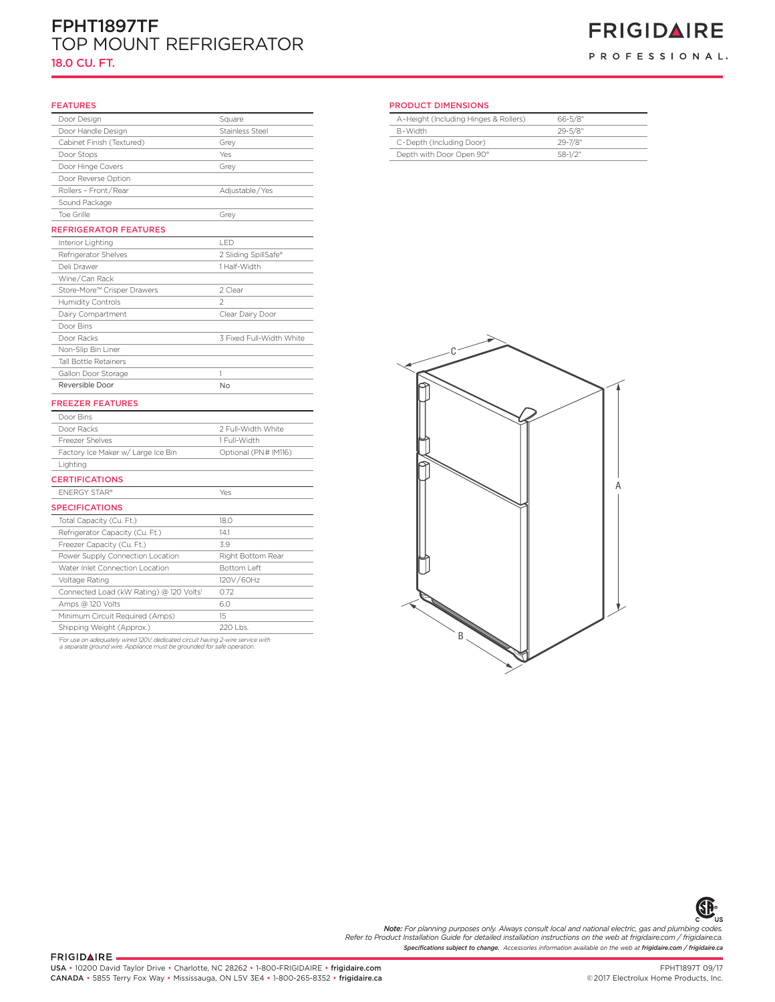## FPHT1897TF TOP MOUNT REFRIGERATOR 18.0 CU. FT.

## **FRIGIDAIRE** PROFESSIONAL.

#### **FEATURES**

| Door Design                             | Square                   | A-Height (Including Hinges & Rollers) | $66 - 5/8$   |
|-----------------------------------------|--------------------------|---------------------------------------|--------------|
| Door Handle Design                      | Stainless Steel          | B-Width                               | $29 - 5/8$   |
| Cabinet Finish (Textured)               | Grey                     | C-Depth (Including Door)              | 29-7/8"      |
| Door Stops                              | Yes                      | Depth with Door Open 90°              | $58 - 1/2$ " |
| Door Hinge Covers                       | Grey                     |                                       |              |
| Door Reverse Option                     |                          |                                       |              |
| Rollers - Front/Rear                    | Adjustable/Yes           |                                       |              |
| Sound Package                           |                          |                                       |              |
| Toe Grille                              | Grey                     |                                       |              |
| <b>REFRIGERATOR FEATURES</b>            |                          |                                       |              |
| Interior Lighting                       | LED                      |                                       |              |
| Refrigerator Shelves                    | 2 Sliding SpillSafe®     |                                       |              |
| Deli Drawer                             | 1 Half-Width             |                                       |              |
| Wine/Can Rack                           |                          |                                       |              |
| Store-More™ Crisper Drawers             | 2 Clear                  |                                       |              |
| Humidity Controls                       | $\overline{2}$           |                                       |              |
| Dairy Compartment                       | Clear Dairy Door         |                                       |              |
| Door Bins                               |                          |                                       |              |
| Door Racks                              | 3 Fixed Full-Width White |                                       |              |
| Non-Slip Bin Liner                      |                          |                                       |              |
| Tall Bottle Retainers                   |                          |                                       |              |
| Gallon Door Storage                     | 1                        |                                       |              |
| Reversible Door                         | No                       |                                       |              |
| <b>FREEZER FEATURES</b>                 |                          |                                       |              |
| Door Bins                               |                          |                                       |              |
| Door Racks                              | 2 Full-Width White       |                                       |              |
| Freezer Shelves                         | 1 Full-Width             |                                       |              |
| Factory Ice Maker w/ Large Ice Bin      | Optional (PN# IM116)     |                                       |              |
| Lighting                                |                          |                                       |              |
| <b>CERTIFICATIONS</b>                   |                          |                                       |              |
| <b>ENERGY STAR®</b>                     | Yes                      |                                       |              |
| <b>SPECIFICATIONS</b>                   |                          |                                       |              |
| Total Capacity (Cu. Ft.)                | 18.0                     |                                       |              |
| Refrigerator Capacity (Cu. Ft.)         | 14.1                     |                                       |              |
| Freezer Capacity (Cu. Ft.)              | 3.9                      |                                       |              |
| Power Supply Connection Location        | Right Bottom Rear        |                                       |              |
| Water Inlet Connection Location         | Bottom Left              |                                       |              |
| Voltage Rating                          | 120V/60Hz                |                                       |              |
| Connected Load (kW Rating) @ 120 Volts1 | 0.72                     |                                       |              |
| Amps @ 120 Volts                        | 6.0                      |                                       |              |
| Minimum Circuit Required (Amps)         | 15                       |                                       |              |
| Shipping Weight (Approx.)               | 220 Lbs.                 |                                       |              |
|                                         |                          | B                                     |              |

*1 For use on adequately wired 120V, dedicated circuit having 2-wire service with a separate ground wire. Appliance must be grounded for safe operation.*

#### PRODUCT DIMENSIONS

| A-Height (Including Hinges & Rollers) | $66 - 5/8$ " |
|---------------------------------------|--------------|
| R-Width                               | $29 - 5/8$ " |
| C-Depth (Including Door)              | $29 - 7/8$ " |
| Depth with Door Open 90°              | $58-1/2"$    |





*Specifications subject to change. Accessories information available on the web at frigidaire.com / frigidaire.ca will provide limited crisper access Note: For planning purposes only. Always consult local and national electric, gas and plumbing codes. minimum clearance will ONLY Refer to Product Installation Guide for detailed installation instructions on the web at frigidaire.com / frigidaire.ca. allow for 90°door swing which <u>change</u>*. Accessories information

FRIGIDAIRE.